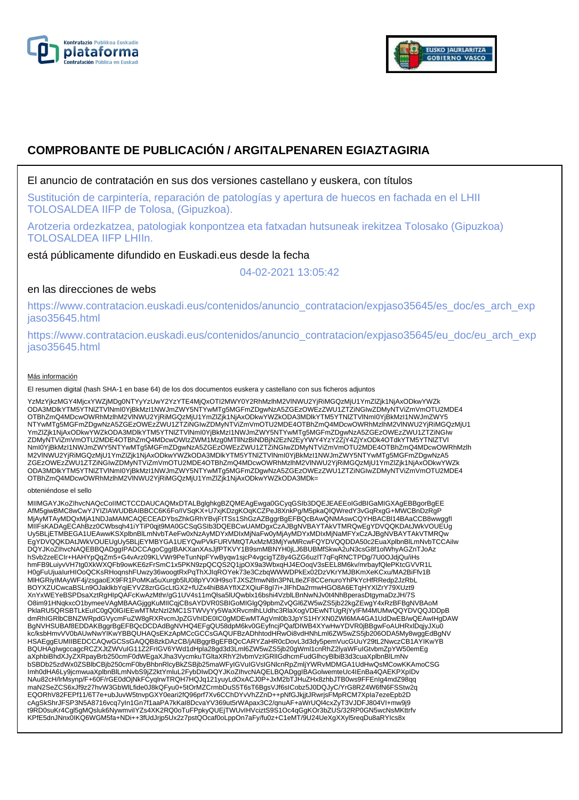



# **COMPROBANTE DE PUBLICACIÓN / ARGITALPENAREN EGIAZTAGIRIA**

### El anuncio de contratación en sus dos versiones castellano y euskera, con títulos

Sustitución de carpintería, reparación de patologías y apertura de huecos en fachada en el LHII TOLOSALDEA IIFP de Tolosa, (Gipuzkoa).

Arotzeria ordezkatzea, patologiak konpontzea eta fatxadan hutsuneak irekitzea Tolosako (Gipuzkoa) TOLOSALDEA IIFP LHIIn.

está públicamente difundido en Euskadi.eus desde la fecha

04-02-2021 13:05:42

## en las direcciones de webs

https://www.contratacion.euskadi.eus/contenidos/anuncio\_contratacion/expjaso35645/es\_doc/es\_arch\_exp jaso35645.html

https://www.contratacion.euskadi.eus/contenidos/anuncio\_contratacion/expjaso35645/eu\_doc/eu\_arch\_exp jaso35645.html

#### Más información

El resumen digital (hash SHA-1 en base 64) de los dos documentos euskera y castellano con sus ficheros adjuntos

YzMzYjkzMGY4MjcxYWZjMDg0NTYyYzUwY2YzYTE4MjQxOTI2MWY0Y2RhMzlhM2VlNWU2YjRiMGQzMjU1YmZlZjk1NjAxODkwYWZk ODA3MDlkYTM5YTNlZTVlNmI0YjBkMzI1NWJmZWY5NTYwMTg5MGFmZDgwNzA5ZGEzOWEzZWU1ZTZiNGIwZDMyNTViZmVmOTU2MDE4 OTBhZmQ4MDcwOWRhMzlhM2VlNWU2YjRiMGQzMjU1YmZlZjk1NjAxODkwYWZkODA3MDlkYTM5YTNlZTVlNml0YjBkMzI1NWJmZWY5<br>NTYwMTg5MGFmZDgwNzA5ZGEzOWEzZWU1ZTZiNGIwZDMyNTViZmVmOTU2MDE4OTBhZmQ4MDcwOWRhMzlhM2VlNWU2YjRiMGQzMjU1 YmZlZjk1NjAxODkwYWZkODA3MDlkYTM5YTNlZTVlNmI0YjBkMzI1NWJmZWY5NTYwMTg5MGFmZDgwNzA5ZGEzOWEzZWU1ZTZiNGIw ZDMyNTViZmVmOTU2MDE4OTBhZmQ4MDcwOWIzZWM1Mzg0MTllNzBiNDBjN2EzN2EyYWY4YzY2ZjY4ZjYxODk4OTdkYTM5YTNlZTVl NmI0YjBkMzI1NWJmZWY5NTYwMTg5MGFmZDgwNzA5ZGEzOWEzZWU1ZTZiNGIwZDMyNTViZmVmOTU2MDE4OTBhZmQ4MDcwOWRhMzlh M2VlNWU2YjRiMGQzMjU1YmZlZjk1NjAxODkwYWZkODA3MDlkYTM5YTNlZTVlNmI0YjBkMzI1NWJmZWY5NTYwMTg5MGFmZDgwNzA5 ZGEzOWEzZWU1ZTZiNGIwZDMyNTViZmVmOTU2MDE4OTBhZmQ4MDcwOWRhMzlhM2VlNWU2YjRiMGQzMjU1YmZlZjk1NjAxODkwYWZk ODA3MDlkYTM5YTNlZTVlNmI0YjBkMzI1NWJmZWY5NTYwMTg5MGFmZDgwNzA5ZGEzOWEzZWU1ZTZiNGIwZDMyNTViZmVmOTU2MDE4 OTBhZmQ4MDcwOWRhMzlhM2VlNWU2YjRiMGQzMjU1YmZlZjk1NjAxODkwYWZkODA3MDk=

#### obteniéndose el sello

MIIMGAYJKoZIhvcNAQcCoIIMCTCCDAUCAQMxDTALBglghkgBZQMEAgEwga0GCyqGSIb3DQEJEAEEoIGdBIGaMIGXAgEBBgorBgEE<br>AfM5giwBMC8wCwYJYIZIAWUDBAIBBCC6K6Fo/IVSqKX+U7xjKDzgKOqKCZPeJ8XnkPg/M5pkaQIQWredY3vGqRxgG+MWCBnDzRgP<br>MjAyMTAyMDQxMjA1NDJa Uy5BLjETMBEGA1UEAwwKSXplbnBlLmNvbTAeFw0xNzAyMDYxMDIxMjNaFw0yMjAyMDYxMDIxMjNaMFYxCzAJBgNVBAYTAkVTMRQw EgYDVQQKDAtJWkVOUEUgUy5BLjEYMBYGA1UEYQwPVkFURVMtQTAxMzM3MjYwMRcwFQYDVQQDDA50c2EuaXplbnBlLmNvbTCCAiIw DQYJKoZIhvcNAQEBBQADggIPADCCAgoCggIBAKXanXAsJjfPTKVY1B9smMBNYH0jLJ6BUBMfSkwA2uN3csG8f1olWhyAGZnTJoAz hSvb2zeECIr+HAHYpQqZm5+G4vArz09KLVWr9PeTunNpFYwByqw1sjcP4vgcigTZ8y4GZG6uzlT7qFqRNCTPDg/7U0OJdjQu/iHs hmFB9LuiyvVH7tg0XkWXQFb9owKE6zFrSmC1x5PKN9zpQCQS2Q1jpOX9a3WbxqHJ4EOoqV3sEEL8M6kv/mrbayfQlePKtcGVVR1L H0gFuUjuaIurHIOoQCKsRHoqnshFUwzy36woogtRxPqThXJIqROYek73e3CzbqWWWDPkEx02DzVKrYMJBKmXeKCxu/MA2BiFfv1B MlHGRiyIMAyWF4j/zsgaoEX9FR1PoMKa5uXurgb5lU08pYVXlH9soTJXSZfmwN8n3PNLtleZF8CCenuroYhPkYcHfRRedp2JzRbL BOYXZUCwcaBSLn9OJaklkbYqiEYVZ8zrGGcLtGX2+fUZx4hiB8AYfIXZXQiuF8gI7i+JlFhDa2rmwHGO8A6ETqHYXlZrY79XUzt9 XnYxWEYeBSPDsaXztRgHIpQAFcKwAzMthr/gG1UV4s11mQlsa5lUQwblx16bshi4VzblLBnNwNJv0t4NhBperasDtgymaDzJH/7S O8im91HNqkxcO1bymeeVAgMBAAGjggKuMIICqjCBsAYDVR0SBIGoMIGlgQ9pbmZvQGl6ZW5wZS5jb22kgZEwgY4xRzBFBgNVBAoM PklaRU5QRSBTLkEuIC0gQ0lGIEEwMTMzNzI2MC1STWVyYy5WaXRvcmlhLUdhc3RlaXogVDEwNTUgRjYyIFM4MUMwQQYDVQQJDDpB dmRhIGRlbCBNZWRpdGVycmFuZW8gRXRvcmJpZGVhIDE0IC0gMDEwMTAgVml0b3JpYS1HYXN0ZWl6MA4GA1UdDwEB/wQEAwIHgDAW BgNVHSUBAf8EDDAKBggrBgEFBQcDCDAdBgNVHQ4EFgQU58dpM6kv0GEyfncjPQafDIWB4XYwHwYDVR0jBBgwFoAUHRxlDqjyJXu0<br>kc/ksbHmvVV0bAUwNwYIKwYBBQUHAQsEKzApMCcGCCsGAQUFBzADhhtodHRwOi8vdHNhLml6ZW5wZS5jb206ODA5My8wggEdBgNV HSAEggEUMIIBEDCCAQwGCSsGAQQB8zkDAzCB/jAlBggrBgEFBQcCARYZaHR0cDovL3d3dy5pemVucGUuY29tL2NwczCB1AYIKwYB BQUHAgIwgccagcRCZXJtZWVuIG11Z2FrIGV6YWd1dHpla28gd3d3Lml6ZW5wZS5jb20gWml1cnRhZ2lyaWFuIGtvbmZpYW50emEg aXphbiBhdXJyZXRpayBrb250cmF0dWEgaXJha3VycmkuTGltaXRhY2lvbmVzIGRlIGdhcmFudGlhcyBlbiB3d3cuaXplbnBlLmNv bSBDb25zdWx0ZSBlbCBjb250cmF0byBhbnRlcyBkZSBjb25maWFyIGVuIGVsIGNlcnRpZmljYWRvMDMGA1UdHwQsMCowKKAmoCSG Imh0dHA6Ly9jcmwuaXplbnBlLmNvbS9jZ2ktYmluL2FybDIwDQYJKoZIhvcNAQELBQADggIBAGolwemteUc4IEnBa4QAEKPXpIDv NAu82cH/lrMsynp/F+60F/rGE0dOjNkFCyqlrwTRQH7HQJq121yuyLdOxACJ0P+JxM2bTJHuZHx8zhbJTB0ws9FFEnIg4mdZ98qq maN2SeZCS6xJf9z27hvW3GbWlLfide0J8kQFyu0+5tOrMZCrmbDuS5T6sT6BgsVJf6sICobz5J0DQJyC/YrG8RZ4W6fN6FSStw2q EQORhV82FEPf11/6T7e+ubJuvW5tnvpGXY0eari2fQ96prf7Xv6CChDYvVhZZnD++pNfGJkjjtJRwrjsFMpRCM7XpIa7ezeEpb2D cAgSkShrJFSP3N5A8716vcq7yIn1Gn7f1aaPA7kKaI8DcvaYV369ut5rWApax3C2/qnuAF+aWrUQl4cxZyT3VJDFJ804VI+mw9j9<br>t9RD0suKr4Cgl5gMQsluk6NywmviIYZs4XK2RQ0oTuFPpkyQUEjTWUvIHVciztS9S1Oc4qGgKOr3bZUS/32RP0GN5wcNsMKttrfv KPfE5dnJNnx0IKQ6WGM5fa+NDi++3fUdJrjp5Ux2z7pstQOcaf0oLppOn7aFy/fu0z+C1eMT/9U24UeXgXXyl5reqDu8aRYIcs8x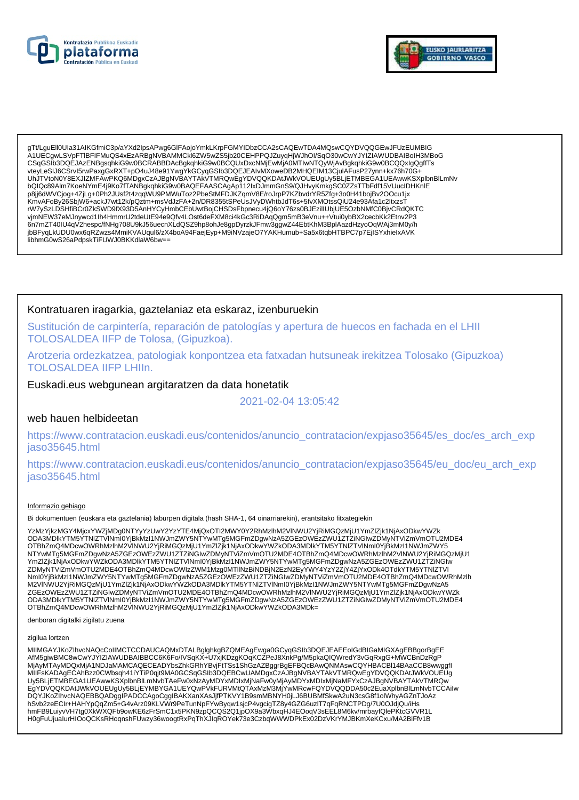



gTt/LguEll0Ula31AIKGfmiC3p/aYXd2lpsAPwg6GIFAojoYmkLKrpFGMYIDbzCCA2sCAQEwTDA4MQswCQYDVQQGEwJFUzEUMBIG A1UECqwLSVpFTIBFIFMuQS4xEzARBqNVBAMMCKI6ZW5wZS5ib20CEHPPQJZuyqHjWJhOI/SqO30wCwYJYIZIAWUDBAIBoIH3MBoG CSqGSIb3DQEJAzENBgsqhkiG9w0BCRABBDAcBgkqhkiG9w0BCQUxDxcNMjEwMjA0MTlwNTQyWjAvBgkqhkiG9w0BCQQxlgQgffTs vteyLeSIJ6CSrvl5rwPaxgGxRXT+pO4uJ48e91YwgYkGCyqGSIb3DQEJEAIvMXoweDB2MHQEIM13CjuIAFusP27ynn+kx76h70G+ UhJTVtoN0Y8EXJIZMFAwPKQ6MDgxCzAJBgNVBAYTAkVTMRQwEgYDVQQKDAtJWkVOUEUgUy5BLjETMBEGA1UEAwwKSXplbnBlLmNv bQIQc89Alm7KoeNYmE4j9Ko7fTANBgkqhkiG9w0BAQEFAASCAgAp112lxDJmmGnS9/QJHvyKmkgSC0ZZsTTbFdf15VUuclDHKnlE p8jj6dWVCjog+4ZjLg+0Ph2JUsf2t4zqqWU9PMWuToz2PbeStMFDJKZqmV8E/roJrpP7KZbvdrYR5Zfg+3o0H41bojBv2OOcu1jx<br>KmvAFoBy26SbjW6+ackJ7wt12k/pQztm+msVdJzFA+2n/DR8355tSPeUsJVyDWhtbJdT6s+5fvXMOtssQiU24e93Afa1c2ItxzsT www.org/commuter.com/https://www.arthume.com/https://www.arthume.commuter.commuter.commuter.commuter.commuter.commu<br>https://www.arthumedia.commuter.commuter.commuter.commuter.commuter.commuter.commuter.commuter.commuter.co יוואי אובייט אוויי אוויי אוויי אוויי אוויס אוויס אוויס אוויס אוויס אוויס אוויס אוויס אוויי אוויי אוויס אוויס א<br>jbBFyqLkUDU0wx6qRZwzs4MmiKVAUqul6/zX4boA94FaejEyp+M9iNVzajeO7YAKHumub+Sa5x6tqbHTBPC7p7EjISYxhielxAVK libhmG0wS26aPdpskTiFUWJ0BKKdlaW6bw==

### Kontratuaren iragarkia, gaztelaniaz eta eskaraz, izenburuekin

Sustitución de carpintería, reparación de patologías y apertura de huecos en fachada en el LHII TOLOSALDEA IIFP de Tolosa, (Gipuzkoa).

Arotzeria ordezkatzea, patologiak konpontzea eta fatxadan hutsuneak irekitzea Tolosako (Gipuzkoa) **TOLOSALDEA IIFP LHIIn.** 

### Euskadi.eus webgunean argitaratzen da data honetatik

2021-02-04 13:05:42

### web hauen helbideetan

https://www.contratacion.euskadi.eus/contenidos/anuncio\_contratacion/expjaso35645/es\_doc/es\_arch\_exp jaso35645.html

https://www.contratacion.euskadi.eus/contenidos/anuncio contratacion/expjaso35645/eu doc/eu arch exp jaso35645.html

#### Informazio gehiago

Bi dokumentuen (euskara eta gaztelania) laburpen digitala (hash SHA-1, 64 oinarriarekin), erantsitako fitxategiekin

YzMzYjkzMGY4MjcxYWZjMDg0NTYyYzUwY2YzYTE4MjQxOTI2MWY0Y2RhMzlhM2VINWU2YjRiMGQzMjU1YmZlZjk1NjAxODkwYWZk ODA3MDIkYTM5YTNIZTVINmI0YjBkMzI1NWJmZWY5NTYwMTg5MGFmZDgwNzA5ZGEzOWEzZWU1ZTZiNGIwZDMyNTViZmVmOTU2MDE4 OTBhZmQ4MDcwOWRhMzlhM2VINWU2YjRiMGQzMjU1YmZlZjK1NjAxODkwYWZkODA3MDlkYTM5YTNlZTVlNml0YjBkMzl1NWJmZWY5 NTYwMTg5MGFmZDgwNzA5ZGEzOWEzZWU1ZTZINGIwZDMyNTVIZmVmOTU2MDE4OTBhZmQ4MDcwOWRhMzInM2VINWU2YjRiMGQzMjU1 NTTRWNT95MGFmL2DgwNzAS2GEzOWEzZkWOTZTVINmI0YjBkMzI1NWJmZWY5NTYwMTg5MGFmZDgwNzA5ZGEzOWEzZWU1ZTZiNGlw<br>ZDMyNTViZmVmOTU2MDE4OTBhZmQ4MDcwOWIzZWM1Mzg0MTlINzBiNDBjN2EzN2EyYWY4YzY2ZjY4ZjYxODk4OTdkYTMSYTNIZTVI<br>ZDMyNTViZmVmOTU2MDE4O ZGEzOWEzZWU1ZTZIŃGIwZDMyNTVIZmVmOTU2MDE4OTBhZmQ4MDcwOWRhMzIhM2VINWU2YjRiMGQzMjU1YmZlZjk1NjAxODkwYWZk ODA3MDlkYTM5YTNIZTVINmI0YjBkMzI1NWJmZWY5NTYwMTg5MGFmZDgwNzA5ZGEzOWEzZWU1ZTZiNGIwZDMyNTViZmVmOTU2MDE4 OTBhZmQ4MDcwOWRhMzlhM2VINWU2YjRiMGQzMjU1YmZlZjK1NjAxODkwYWZkODA3MDk=

denboran digitalki zigilatu zuena

#### zigilua lortzen

MIIMGAYJKoZIhvcNAQcCoIIMCTCCDAUCAQMxDTALBglghkgBZQMEAgEwga0GCyqGSlb3DQEJEAEEoIGdBIGaMIGXAgEBBgorBgEE AfM5giwBMC8wCwYJYIZIAWUDBAIBBCC6K6Fo/IVSqKX+U7xjKDzgKOqKCZPeJ8XnkPg/M5pkaQIQWredY3vGqRxgG+MWCBnDzRgP MjAyMTAyMDQxMjA1NDJaMAMCAQECEADYbsZhkGRhYBvjFtTSs1ShGzAZBggrBgEFBQcBAwQNMAswCQYHBACBI14BAaCCB8wwggfl<br>MIIFsKADAgECAhBzz0CWbsqh41iYTiP0qjt9MA0GCSqGSlb3DQEBCwUAMDgxCzAJBgNVBAYTAkVTMRQwEgYDVQQKDAtJWkVOUEUg Uy5BLjETMBEGA1UEAwwKSXplbnBlLmNvbTAeFw0xNzAyMDYxMDIxMjNaFw0yMjAyMDYxMDIxMjNaMFYxCzAJBgNVBAYTAkVTMRQw EgYDVQQKDAtJWkVOUEUgUy5BLJEYMBYGA1UEYQwPVkFURVMtQTAxMzM3MjYwMRcwFQYDVQQDDA50c2EuaXplbnBlLmNvbTCCAilw DQYJKoZlhvcNAQEBBQADggIPADCCAgoCggIBAKXanXAsJjfPTKVY1B9smMBNYH0jLJ6BUBMfSkwA2uN3csG8f1olWhyAGZnTJoAz hSvb2zeECIr+HAHYpQqZm5+G4vArz09KLVWr9PeTunNpFYwByqw1sjcP4vgcigTZ8y4GZG6uzIT7qFqRNCTPDg/7U0OJdjQu/iHs hmFB9LuiyvVH7tg0XkWXQFb9owKE6zFrSmC1x5PKN9zpQCQS2Q1jpOX9a3WbxqHJ4EOoqV3sEEL8M6kv/mrbayfQlePKtcGVVR1L H0gFuUjualurHIOoQCKsRHoqnshFUwzy36woogtRxPqThXJlqROYek73e3CzbqWWWDPkEx02DzVKrYMJBKmXeKCxu/MA2BiFfv1B